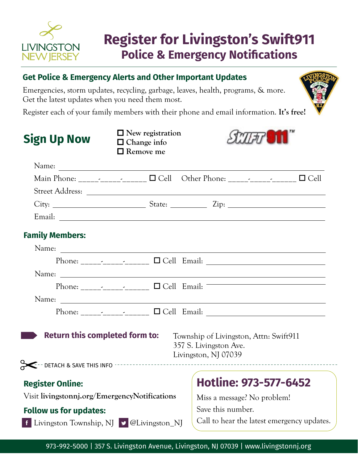

# **Register for Livingston's Swift911 Police & Emergency Notifications**

|                                                              | <b>Get Police &amp; Emergency Alerts and Other Important Updates</b>                    |                                                |  |
|--------------------------------------------------------------|-----------------------------------------------------------------------------------------|------------------------------------------------|--|
| Get the latest updates when you need them most.              | Emergencies, storm updates, recycling, garbage, leaves, health, programs, & more.       |                                                |  |
|                                                              | Register each of your family members with their phone and email information. It's free! |                                                |  |
| <b>Sign Up Now</b>                                           | $\Box$ New registration<br>$\Box$ Change info<br>$\Box$ Remove me                       |                                                |  |
|                                                              |                                                                                         |                                                |  |
|                                                              |                                                                                         |                                                |  |
|                                                              |                                                                                         |                                                |  |
|                                                              |                                                                                         |                                                |  |
|                                                              |                                                                                         |                                                |  |
| <b>Family Members:</b>                                       |                                                                                         |                                                |  |
|                                                              |                                                                                         |                                                |  |
|                                                              |                                                                                         |                                                |  |
|                                                              |                                                                                         |                                                |  |
|                                                              |                                                                                         |                                                |  |
|                                                              |                                                                                         |                                                |  |
|                                                              |                                                                                         |                                                |  |
|                                                              | <b>Return this completed form to:</b> Township of Livingston, Attn: Swift911            | 357 S. Livingston Ave.<br>Livingston, NJ 07039 |  |
| --- DETACH & SAVE THIS INFO --------------                   |                                                                                         |                                                |  |
| <b>Register Online:</b>                                      |                                                                                         | Hotline: 973-577-6452                          |  |
| Visit livingstonnj.org/EmergencyNotifications                |                                                                                         | Miss a message? No problem!                    |  |
| <b>Follow us for updates:</b>                                |                                                                                         | Save this number.                              |  |
| Livingston Township, NJ $\blacktriangleright$ @Livingston_NJ |                                                                                         | Call to hear the latest emergency updates.     |  |